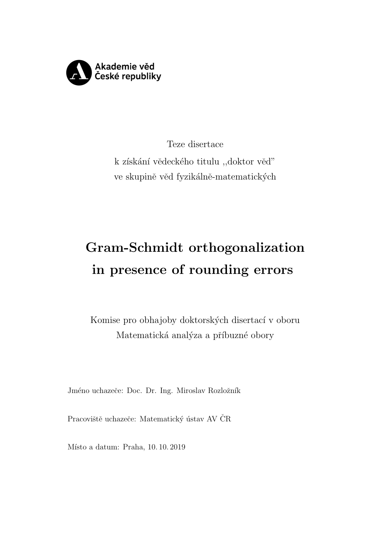

Teze disertace k získání vědeckého titulu "doktor věď" ve skupině věd fyzikálně-matematických

# Gram-Schmidt orthogonalization in presence of rounding errors

Komise pro obhajoby doktorských disertací v oboru Matematická analýza a příbuzné obory

Jméno uchazeče: Doc. Dr. Ing. Miroslav Rozložník

Pracoviště uchazeče: Matematický ústav AV ČR

Místo a datum: Praha, 10.10.2019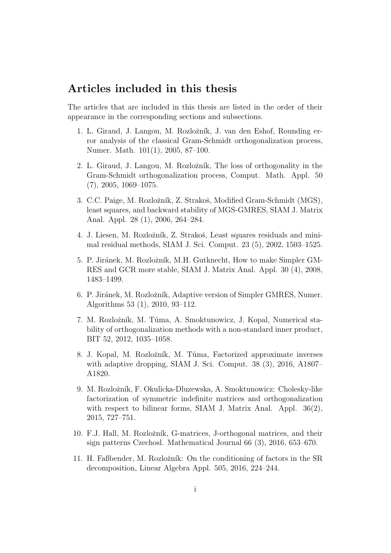## Articles included in this thesis

The articles that are included in this thesis are listed in the order of their appearance in the corresponding sections and subsections.

- 1. L. Giraud, J. Langou, M. Rozložník, J. van den Eshof, Rounding error analysis of the classical Gram-Schmidt orthogonalization process, Numer. Math. 101(1), 2005, 87–100.
- 2. L. Giraud, J. Langou, M. Rozložník, The loss of orthogonality in the Gram-Schmidt orthogonalization process, Comput. Math. Appl. 50 (7), 2005, 1069–1075.
- 3. C.C. Paige, M. Rozložník, Z. Strakoš, Modified Gram-Schmidt (MGS), least squares, and backward stability of MGS-GMRES, SIAM J. Matrix Anal. Appl. 28 (1), 2006, 264–284.
- 4. J. Liesen, M. Rozložník, Z. Strakoš, Least squares residuals and minimal residual methods, SIAM J. Sci. Comput. 23 (5), 2002, 1503–1525.
- 5. P. Jiránek, M. Rozložník, M.H. Gutknecht, How to make Simpler GM-RES and GCR more stable, SIAM J. Matrix Anal. Appl. 30 (4), 2008, 1483–1499.
- 6. P. Jiránek, M. Rozložník, Adaptive version of Simpler GMRES, Numer. Algorithms 53 (1), 2010, 93–112.
- 7. M. Rozložník, M. Tůma, A. Smoktunowicz, J. Kopal, Numerical stability of orthogonalization methods with a non-standard inner product, BIT 52, 2012, 1035–1058.
- 8. J. Kopal, M. Rozložník, M. Tůma, Factorized approximate inverses with adaptive dropping, SIAM J. Sci. Comput. 38 (3), 2016, A1807– A1820.
- 9. M. Rozložník, F. Okulicka-Dluzewska, A. Smoktunowicz: Cholesky-like factorization of symmetric indefinite matrices and orthogonalization with respect to bilinear forms, SIAM J. Matrix Anal. Appl. 36(2), 2015, 727–751.
- 10. F.J. Hall, M. Rozložník, G-matrices, J-orthogonal matrices, and their sign patterns Czechosl. Mathematical Journal 66 (3), 2016, 653–670.
- 11. H. Faßbender, M. Rozložník: On the conditioning of factors in the SR decomposition, Linear Algebra Appl. 505, 2016, 224–244.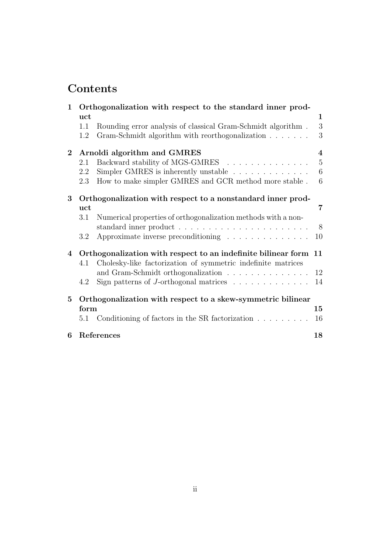## **Contents**

| $\mathbf 1$    | Orthogonalization with respect to the standard inner prod-       |                                                                        |                 |  |
|----------------|------------------------------------------------------------------|------------------------------------------------------------------------|-----------------|--|
|                | uct                                                              |                                                                        | $\mathbf 1$     |  |
|                | 1.1                                                              | Rounding error analysis of classical Gram-Schmidt algorithm.           | 3               |  |
|                | 1.2                                                              | Gram-Schmidt algorithm with reorthogonalization                        | 3               |  |
| $\mathbf{2}$   | Arnoldi algorithm and GMRES<br>$\overline{4}$                    |                                                                        |                 |  |
|                | 2.1                                                              | Backward stability of MGS-GMRES                                        | $5\,$           |  |
|                | 2.2                                                              | Simpler GMRES is inherently unstable $\ldots \ldots \ldots \ldots$     | $\,6\,$         |  |
|                | 2.3                                                              | How to make simpler GMRES and GCR method more stable.                  | $6\phantom{.}6$ |  |
| 3              | Orthogonalization with respect to a nonstandard inner prod-      |                                                                        |                 |  |
|                | uct                                                              |                                                                        | 7               |  |
|                | 3.1                                                              | Numerical properties of orthogonalization methods with a non-          |                 |  |
|                |                                                                  |                                                                        | 8               |  |
|                | 3.2                                                              | Approximate inverse preconditioning                                    | 10              |  |
| $\overline{4}$ | Orthogonalization with respect to an indefinite bilinear form 11 |                                                                        |                 |  |
|                | 4.1                                                              | Cholesky-like factorization of symmetric indefinite matrices           |                 |  |
|                |                                                                  | and Gram-Schmidt orthogonalization                                     | 12              |  |
|                | 4.2                                                              | Sign patterns of J-orthogonal matrices $\ldots \ldots \ldots \ldots$   | 14              |  |
| 5              |                                                                  | Orthogonalization with respect to a skew-symmetric bilinear            |                 |  |
|                | form                                                             |                                                                        | 15              |  |
|                | 5.1                                                              | Conditioning of factors in the SR factorization $\ldots \ldots \ldots$ | 16              |  |
| 6              |                                                                  | References                                                             | 18              |  |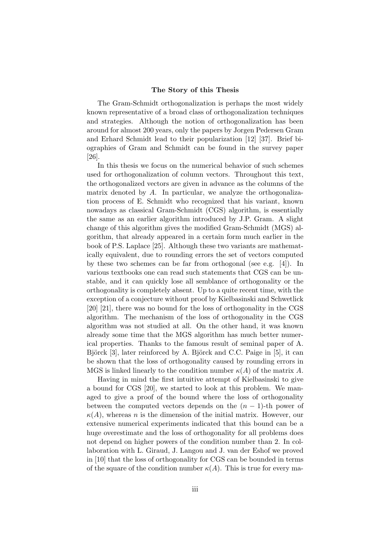#### The Story of this Thesis

The Gram-Schmidt orthogonalization is perhaps the most widely known representative of a broad class of orthogonalization techniques and strategies. Although the notion of orthogonalization has been around for almost 200 years, only the papers by Jorgen Pedersen Gram and Erhard Schmidt lead to their popularization [12] [37]. Brief biographies of Gram and Schmidt can be found in the survey paper [26].

In this thesis we focus on the numerical behavior of such schemes used for orthogonalization of column vectors. Throughout this text, the orthogonalized vectors are given in advance as the columns of the matrix denoted by A. In particular, we analyze the orthogonalization process of E. Schmidt who recognized that his variant, known nowadays as classical Gram-Schmidt (CGS) algorithm, is essentially the same as an earlier algorithm introduced by J.P. Gram. A slight change of this algorithm gives the modified Gram-Schmidt (MGS) algorithm, that already appeared in a certain form much earlier in the book of P.S. Laplace [25]. Although these two variants are mathematically equivalent, due to rounding errors the set of vectors computed by these two schemes can be far from orthogonal (see e.g. [4]). In various textbooks one can read such statements that CGS can be unstable, and it can quickly lose all semblance of orthogonality or the orthogonality is completely absent. Up to a quite recent time, with the exception of a conjecture without proof by Kielbasinski and Schwetlick [20] [21], there was no bound for the loss of orthogonality in the CGS algorithm. The mechanism of the loss of orthogonality in the CGS algorithm was not studied at all. On the other hand, it was known already some time that the MGS algorithm has much better numerical properties. Thanks to the famous result of seminal paper of A. Björck [3], later reinforced by A. Björck and C.C. Paige in [5], it can be shown that the loss of orthogonality caused by rounding errors in MGS is linked linearly to the condition number  $\kappa(A)$  of the matrix A.

Having in mind the first intuitive attempt of Kielbasinski to give a bound for CGS [20], we started to look at this problem. We managed to give a proof of the bound where the loss of orthogonality between the computed vectors depends on the  $(n - 1)$ -th power of  $\kappa(A)$ , whereas n is the dimension of the initial matrix. However, our extensive numerical experiments indicated that this bound can be a huge overestimate and the loss of orthogonality for all problems does not depend on higher powers of the condition number than 2. In collaboration with L. Giraud, J. Langou and J. van der Eshof we proved in [10] that the loss of orthogonality for CGS can be bounded in terms of the square of the condition number  $\kappa(A)$ . This is true for every ma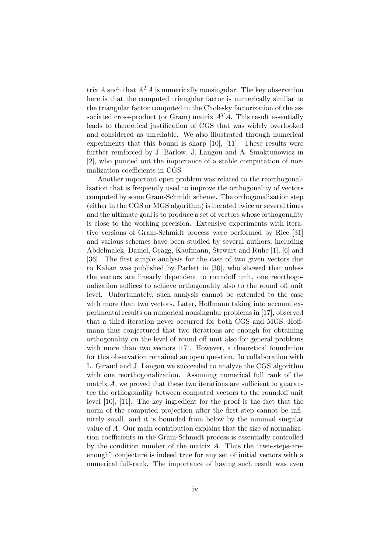trix A such that  $A<sup>T</sup>A$  is numerically nonsingular. The key observation here is that the computed triangular factor is numerically similar to the triangular factor computed in the Cholesky factorization of the associated cross-product (or Gram) matrix  $A<sup>T</sup>A$ . This result essentially leads to theoretical justification of CGS that was widely overlooked and considered as unreliable. We also illustrated through numerical experiments that this bound is sharp [10], [11]. These results were further reinforced by J. Barlow, J. Langou and A. Smoktunowicz in [2], who pointed out the importance of a stable computation of normalization coefficients in CGS.

Another important open problem was related to the reorthogonalization that is frequently used to improve the orthogonality of vectors computed by some Gram-Schmidt scheme. The orthogonalization step (either in the CGS or MGS algorithm) is iterated twice or several times and the ultimate goal is to produce a set of vectors whose orthogonality is close to the working precision. Extensive experiments with iterative versions of Gram-Schmidt process were performed by Rice [31] and various schemes have been studied by several authors, including Abdelmalek, Daniel, Gragg, Kaufmann, Stewart and Ruhe [1], [6] and [36]. The first simple analysis for the case of two given vectors due to Kahan was published by Parlett in [30], who showed that unless the vectors are linearly dependent to roundoff unit, one reorthogonalization suffices to achieve orthogonality also to the round off unit level. Unfortunately, such analysis cannot be extended to the case with more than two vectors. Later, Hoffmann taking into account experimental results on numerical nonsingular problems in [17], observed that a third iteration never occurred for both CGS and MGS. Hoffmann thus conjectured that two iterations are enough for obtaining orthogonality on the level of round off unit also for general problems with more than two vectors [17]. However, a theoretical foundation for this observation remained an open question. In collaboration with L. Giraud and J. Langou we succeeded to analyze the CGS algorithm with one reorthogonalization. Assuming numerical full rank of the matrix  $A$ , we proved that these two iterations are sufficient to guarantee the orthogonality between computed vectors to the roundoff unit level [10], [11]. The key ingredient for the proof is the fact that the norm of the computed projection after the first step cannot be infinitely small, and it is bounded from below by the minimal singular value of A. Our main contribution explains that the size of normalization coefficients in the Gram-Schmidt process is essentially controlled by the condition number of the matrix A. Thus the "two-steps-areenough" conjecture is indeed true for any set of initial vectors with a numerical full-rank. The importance of having such result was even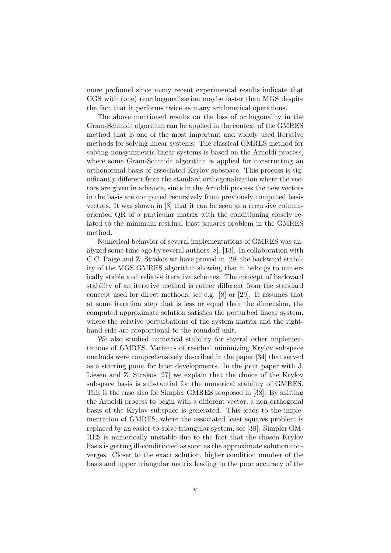more profound since many recent experimental results indicate that CGS with (one) reorthogonalization maybe faster than MGS despite the fact that it performs twice as many arithmetical operations.

The above mentioned results on the loss of orthogonality in the Gram-Schmidt algorithm can be applied in the context of the GMRES method that is one of the most important and widely used iterative methods for solving linear systems. The classical GMRES method for solving nonsymmetric linear systems is based on the Arnoldi process, where some Gram-Schmidt algorithm is applied for constructing an orthonormal basis of associated Krylov subspace. This process is significantly different from the standard orthogonalization where the vectors are given in advance, since in the Arnoldi process the new vectors in the basis are computed recursively from previously computed basis vectors. It was shown in [8] that it can be seen as a recursive columnoriented QR of a particular matrix with the conditioning closely related to the minimum residual least squares problem in the GMRES method.

Numerical behavior of several implementations of GMRES was analyzed some time ago by several authors [8], [13]. In collaboration with C.C. Paige and Z. Strakoš we have proved in [29] the backward stability of the MGS GMRES algorithm showing that it belongs to numerically stable and reliable iterative schemes. The concept of backward stability of an iterative method is rather different from the standard concept used for direct methods, see e.g. [8] or [29]. It assumes that at some iteration step that is less or equal than the dimension, the computed approximate solution satisfies the perturbed linear system, where the relative perturbations of the system matrix and the righthand side are proportional to the roundoff unit.

We also studied numerical stability for several other implementations of GMRES. Variants of residual minimizing Krylov subspace methods were comprehensively described in the paper [34] that served as a starting point for later developments. In the joint paper with J. Liesen and Z. Strakoš  $[27]$  we explain that the choice of the Krylov subspace basis is substantial for the numerical stability of GMRES. This is the case also for Simpler GMRES proposed in [38]. By shifting the Arnoldi process to begin with a different vector, a non-orthogonal basis of the Krylov subspace is generated. This leads to the implementation of GMRES, where the associated least squares problem is replaced by an easier-to-solve triangular system, see [38]. Simpler GM-RES is numerically unstable due to the fact that the chosen Krylov basis is getting ill-conditioned as soon as the approximate solution converges. Closer to the exact solution, higher condition number of the basis and upper triangular matrix leading to the poor accuracy of the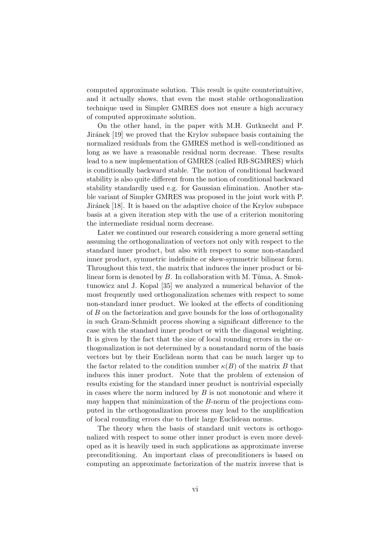computed approximate solution. This result is quite counterintuitive, and it actually shows, that even the most stable orthogonalization technique used in Simpler GMRES does not ensure a high accuracy of computed approximate solution.

On the other hand, in the paper with M.H. Gutknecht and P. Jiránek [19] we proved that the Krylov subspace basis containing the normalized residuals from the GMRES method is well-conditioned as long as we have a reasonable residual norm decrease. These results lead to a new implementation of GMRES (called RB-SGMRES) which is conditionally backward stable. The notion of conditional backward stability is also quite different from the notion of conditional backward stability standardly used e.g. for Gaussian elimination. Another stable variant of Simpler GMRES was proposed in the joint work with P. Jiránek [18]. It is based on the adaptive choice of the Krylov subspace basis at a given iteration step with the use of a criterion monitoring the intermediate residual norm decrease.

Later we continued our research considering a more general setting assuming the orthogonalization of vectors not only with respect to the standard inner product, but also with respect to some non-standard inner product, symmetric indefinite or skew-symmetric bilinear form. Throughout this text, the matrix that induces the inner product or bilinear form is denoted by  $B$ . In collaboration with M. Tuma, A. Smoktunowicz and J. Kopal [35] we analyzed a numerical behavior of the most frequently used orthogonalization schemes with respect to some non-standard inner product. We looked at the effects of conditioning of B on the factorization and gave bounds for the loss of orthogonality in such Gram-Schmidt process showing a significant difference to the case with the standard inner product or with the diagonal weighting. It is given by the fact that the size of local rounding errors in the orthogonalization is not determined by a nonstandard norm of the basis vectors but by their Euclidean norm that can be much larger up to the factor related to the condition number  $\kappa(B)$  of the matrix B that induces this inner product. Note that the problem of extension of results existing for the standard inner product is nontrivial especially in cases where the norm induced by  $B$  is not monotonic and where it may happen that minimization of the B-norm of the projections computed in the orthogonalization process may lead to the amplification of local rounding errors due to their large Euclidean norms.

The theory when the basis of standard unit vectors is orthogonalized with respect to some other inner product is even more developed as it is heavily used in such applications as approximate inverse preconditioning. An important class of preconditioners is based on computing an approximate factorization of the matrix inverse that is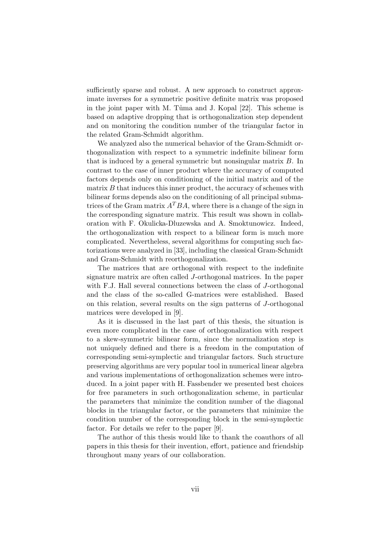sufficiently sparse and robust. A new approach to construct approximate inverses for a symmetric positive definite matrix was proposed in the joint paper with M. Tuma and J. Kopal [22]. This scheme is based on adaptive dropping that is orthogonalization step dependent and on monitoring the condition number of the triangular factor in the related Gram-Schmidt algorithm.

We analyzed also the numerical behavior of the Gram-Schmidt orthogonalization with respect to a symmetric indefinite bilinear form that is induced by a general symmetric but nonsingular matrix B. In contrast to the case of inner product where the accuracy of computed factors depends only on conditioning of the initial matrix and of the matrix  $B$  that induces this inner product, the accuracy of schemes with bilinear forms depends also on the conditioning of all principal submatrices of the Gram matrix  $A^TBA$ , where there is a change of the sign in the corresponding signature matrix. This result was shown in collaboration with F. Okulicka-Dluzewska and A. Smoktunowicz. Indeed, the orthogonalization with respect to a bilinear form is much more complicated. Nevertheless, several algorithms for computing such factorizations were analyzed in [33], including the classical Gram-Schmidt and Gram-Schmidt with reorthogonalization.

The matrices that are orthogonal with respect to the indefinite signature matrix are often called J-orthogonal matrices. In the paper with F.J. Hall several connections between the class of J-orthogonal and the class of the so-called G-matrices were established. Based on this relation, several results on the sign patterns of J-orthogonal matrices were developed in [9].

As it is discussed in the last part of this thesis, the situation is even more complicated in the case of orthogonalization with respect to a skew-symmetric bilinear form, since the normalization step is not uniquely defined and there is a freedom in the computation of corresponding semi-symplectic and triangular factors. Such structure preserving algorithms are very popular tool in numerical linear algebra and various implementations of orthogonalization schemes were introduced. In a joint paper with H. Fassbender we presented best choices for free parameters in such orthogonalization scheme, in particular the parameters that minimize the condition number of the diagonal blocks in the triangular factor, or the parameters that minimize the condition number of the corresponding block in the semi-symplectic factor. For details we refer to the paper [9].

The author of this thesis would like to thank the coauthors of all papers in this thesis for their invention, effort, patience and friendship throughout many years of our collaboration.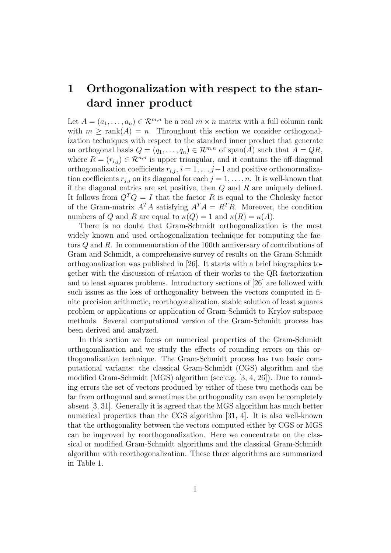## 1 Orthogonalization with respect to the standard inner product

Let  $A = (a_1, \ldots, a_n) \in \mathbb{R}^{m,n}$  be a real  $m \times n$  matrix with a full column rank with  $m \geq \text{rank}(A) = n$ . Throughout this section we consider orthogonalization techniques with respect to the standard inner product that generate an orthogonal basis  $Q = (q_1, \ldots, q_n) \in \mathcal{R}^{m,n}$  of span(A) such that  $A = QR$ , where  $R = (r_{i,j}) \in \mathcal{R}^{n,n}$  is upper triangular, and it contains the off-diagonal orthogonalization coefficients  $r_{i,j}$ ,  $i = 1, \ldots j-1$  and positive orthonormalization coefficients  $r_{j,j}$  on its diagonal for each  $j = 1, \ldots, n$ . It is well-known that if the diagonal entries are set positive, then  $Q$  and  $R$  are uniquely defined. It follows from  $Q^T Q = I$  that the factor R is equal to the Cholesky factor of the Gram-matrix  $A^T A$  satisfying  $A^T A = R^T R$ . Moreover, the condition numbers of Q and R are equal to  $\kappa(Q) = 1$  and  $\kappa(R) = \kappa(A)$ .

There is no doubt that Gram-Schmidt orthogonalization is the most widely known and used orthogonalization technique for computing the factors Q and R. In commemoration of the 100th anniversary of contributions of Gram and Schmidt, a comprehensive survey of results on the Gram-Schmidt orthogonalization was published in [26]. It starts with a brief biographies together with the discussion of relation of their works to the QR factorization and to least squares problems. Introductory sections of [26] are followed with such issues as the loss of orthogonality between the vectors computed in finite precision arithmetic, reorthogonalization, stable solution of least squares problem or applications or application of Gram-Schmidt to Krylov subspace methods. Several computational version of the Gram-Schmidt process has been derived and analyzed.

In this section we focus on numerical properties of the Gram-Schmidt orthogonalization and we study the effects of rounding errors on this orthogonalization technique. The Gram-Schmidt process has two basic computational variants: the classical Gram-Schmidt (CGS) algorithm and the modified Gram-Schmidt (MGS) algorithm (see e.g. [3, 4, 26]). Due to rounding errors the set of vectors produced by either of these two methods can be far from orthogonal and sometimes the orthogonality can even be completely absent [3, 31]. Generally it is agreed that the MGS algorithm has much better numerical properties than the CGS algorithm [31, 4]. It is also well-known that the orthogonality between the vectors computed either by CGS or MGS can be improved by reorthogonalization. Here we concentrate on the classical or modified Gram-Schmidt algorithms and the classical Gram-Schmidt algorithm with reorthogonalization. These three algorithms are summarized in Table 1.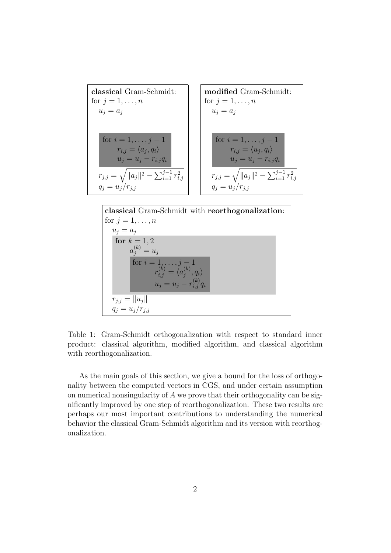

Table 1: Gram-Schmidt orthogonalization with respect to standard inner product: classical algorithm, modified algorithm, and classical algorithm with reorthogonalization.

 $\langle \begin{smallmatrix} ( \kappa ) \ j \end{smallmatrix} }, q_i \rangle$ 

 $u_j = u_j - r_{i,j}^{(k)} q_i$ 

for  $i = 1, ..., j - 1$  $r_{i,j}^{(k)} = \langle a_j^{(k)}$ 

 $r_{j,j} = ||u_j||$  $q_j = u_j/r_{j,j}$ 

As the main goals of this section, we give a bound for the loss of orthogonality between the computed vectors in CGS, and under certain assumption on numerical nonsingularity of A we prove that their orthogonality can be significantly improved by one step of reorthogonalization. These two results are perhaps our most important contributions to understanding the numerical behavior the classical Gram-Schmidt algorithm and its version with reorthogonalization.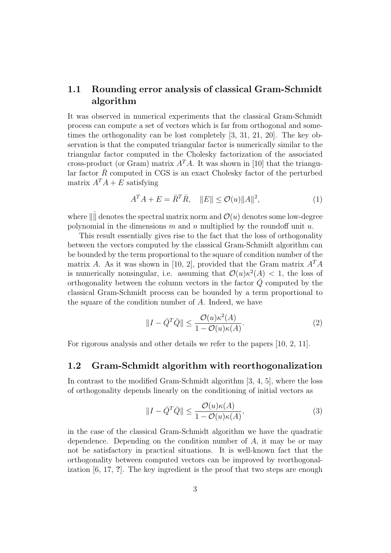### 1.1 Rounding error analysis of classical Gram-Schmidt algorithm

It was observed in numerical experiments that the classical Gram-Schmidt process can compute a set of vectors which is far from orthogonal and sometimes the orthogonality can be lost completely [3, 31, 21, 20]. The key observation is that the computed triangular factor is numerically similar to the triangular factor computed in the Cholesky factorization of the associated cross-product (or Gram) matrix  $A<sup>T</sup>A$ . It was shown in [10] that the triangular factor  $\bar{R}$  computed in CGS is an exact Cholesky factor of the perturbed matrix  $A^T A + E$  satisfying

$$
A^T A + E = \overline{R}^T \overline{R}, \quad ||E|| \le \mathcal{O}(u) ||A||^2,\tag{1}
$$

where  $\|\|\$  denotes the spectral matrix norm and  $\mathcal{O}(u)$  denotes some low-degree polynomial in the dimensions  $m$  and  $n$  multiplied by the roundoff unit  $u$ .

This result essentially gives rise to the fact that the loss of orthogonality between the vectors computed by the classical Gram-Schmidt algorithm can be bounded by the term proportional to the square of condition number of the matrix A. As it was shown in [10, 2], provided that the Gram matrix  $A<sup>T</sup>A$ is numerically nonsingular, i.e. assuming that  $\mathcal{O}(u)\kappa^2(A) < 1$ , the loss of orthogonality between the column vectors in the factor  $\overline{Q}$  computed by the classical Gram-Schmidt process can be bounded by a term proportional to the square of the condition number of A. Indeed, we have

$$
||I - \bar{Q}^T \bar{Q}|| \le \frac{\mathcal{O}(u)\kappa^2(A)}{1 - \mathcal{O}(u)\kappa(A)}.
$$
\n(2)

For rigorous analysis and other details we refer to the papers [10, 2, 11].

#### 1.2 Gram-Schmidt algorithm with reorthogonalization

In contrast to the modified Gram-Schmidt algorithm [3, 4, 5], where the loss of orthogonality depends linearly on the conditioning of initial vectors as

$$
||I - \bar{Q}^T \bar{Q}|| \le \frac{\mathcal{O}(u)\kappa(A)}{1 - \mathcal{O}(u)\kappa(A)},
$$
\n(3)

in the case of the classical Gram-Schmidt algorithm we have the quadratic dependence. Depending on the condition number of A, it may be or may not be satisfactory in practical situations. It is well-known fact that the orthogonality between computed vectors can be improved by reorthogonalization [6, 17, ?]. The key ingredient is the proof that two steps are enough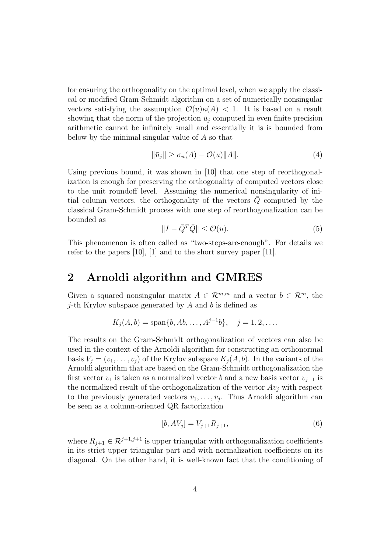for ensuring the orthogonality on the optimal level, when we apply the classical or modified Gram-Schmidt algorithm on a set of numerically nonsingular vectors satisfying the assumption  $\mathcal{O}(u)\kappa(A) < 1$ . It is based on a result showing that the norm of the projection  $\bar{u}_i$  computed in even finite precision arithmetic cannot be infinitely small and essentially it is is bounded from below by the minimal singular value of A so that

$$
\|\bar{u}_j\| \ge \sigma_n(A) - \mathcal{O}(u) \|A\|.\tag{4}
$$

Using previous bound, it was shown in [10] that one step of reorthogonalization is enough for preserving the orthogonality of computed vectors close to the unit roundoff level. Assuming the numerical nonsingularity of initial column vectors, the orthogonality of the vectors  $Q$  computed by the classical Gram-Schmidt process with one step of reorthogonalization can be bounded as

$$
||I - \bar{Q}^T \bar{Q}|| \le \mathcal{O}(u). \tag{5}
$$

This phenomenon is often called as "two-steps-are-enough". For details we refer to the papers [10], [1] and to the short survey paper [11].

## 2 Arnoldi algorithm and GMRES

Given a squared nonsingular matrix  $A \in \mathcal{R}^{m,m}$  and a vector  $b \in \mathcal{R}^m$ , the *j*-th Krylov subspace generated by  $A$  and  $b$  is defined as

$$
K_j(A, b) = \text{span}\{b, Ab, \ldots, A^{j-1}b\}, \quad j = 1, 2, \ldots
$$

The results on the Gram-Schmidt orthogonalization of vectors can also be used in the context of the Arnoldi algorithm for constructing an orthonormal basis  $V_i = (v_1, \ldots, v_j)$  of the Krylov subspace  $K_i(A, b)$ . In the variants of the Arnoldi algorithm that are based on the Gram-Schmidt orthogonalization the first vector  $v_1$  is taken as a normalized vector b and a new basis vector  $v_{i+1}$  is the normalized result of the orthogonalization of the vector  $Av_i$  with respect to the previously generated vectors  $v_1, \ldots, v_j$ . Thus Arnoldi algorithm can be seen as a column-oriented QR factorization

$$
[b, AV_j] = V_{j+1}R_{j+1},\tag{6}
$$

where  $R_{j+1} \in \mathcal{R}^{j+1,j+1}$  is upper triangular with orthogonalization coefficients in its strict upper triangular part and with normalization coefficients on its diagonal. On the other hand, it is well-known fact that the conditioning of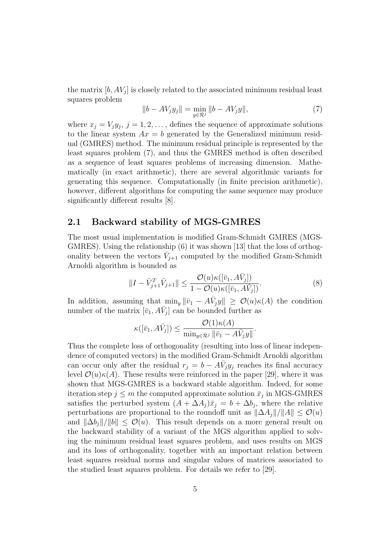the matrix  $[b, AV_j]$  is closely related to the associated minimum residual least squares problem

$$
||b - AV_jy_j|| = \min_{y \in \mathcal{R}^j} ||b - AV_jy||,
$$
\n(7)

where  $x_j = V_j y_j$ ,  $j = 1, 2, \ldots$ , defines the sequence of approximate solutions to the linear system  $Ax = b$  generated by the Generalized minimum residual (GMRES) method. The minimum residual principle is represented by the least squares problem (7), and thus the GMRES method is often described as a sequence of least squares problems of increasing dimension. Mathematically (in exact arithmetic), there are several algorithmic variants for generating this sequence. Computationally (in finite precision arithmetic), however, different algorithms for computing the same sequence may produce significantly different results [8].

### 2.1 Backward stability of MGS-GMRES

The most usual implementation is modified Gram-Schmidt GMRES (MGS-GMRES). Using the relationship (6) it was shown [13] that the loss of orthogonality between the vectors  $\bar{V}_{j+1}$  computed by the modified Gram-Schmidt Arnoldi algorithm is bounded as

$$
||I - \bar{V}_{j+1}^T \bar{V}_{j+1}|| \leq \frac{\mathcal{O}(u)\kappa([\bar{v}_1, A\bar{V}_j])}{1 - \mathcal{O}(u)\kappa([\bar{v}_1, A\bar{V}_j])}.
$$
\n(8)

In addition, assuming that  $\min_y \|\bar{v}_1 - A\bar{V}_jy\| \geq \mathcal{O}(u)\kappa(A)$  the condition number of the matrix  $[\bar{v}_1, A\bar{V}_j]$  can be bounded further as

$$
\kappa([\bar{v}_1, A\bar{V}_j]) \leq \frac{\mathcal{O}(1)\kappa(A)}{\min_{y \in \mathcal{R}^j} \|\bar{v}_1 - A\bar{V}_j y\|}.
$$

Thus the complete loss of orthogonality (resulting into loss of linear independence of computed vectors) in the modified Gram-Schmidt Arnoldi algorithm can occur only after the residual  $r_j = b - A\bar{V}_j y_j$  reaches its final accuracy level  $\mathcal{O}(u)\kappa(A)$ . These results were reinforced in the paper [29], where it was shown that MGS-GMRES is a backward stable algorithm. Indeed, for some iteration step  $j \leq m$  the computed approximate solution  $\bar{x}_j$  in MGS-GMRES satisfies the perturbed system  $(A + \Delta A_j)\bar{x}_j = b + \Delta b_j$ , where the relative perturbations are proportional to the roundoff unit as  $\|\Delta A_i\|/\|A\| \leq \mathcal{O}(u)$ and  $\|\Delta b_i\|/\|b\| \leq \mathcal{O}(u)$ . This result depends on a more general result on the backward stability of a variant of the MGS algorithm applied to solving the minimum residual least squares problem, and uses results on MGS and its loss of orthogonality, together with an important relation between least squares residual norms and singular values of matrices associated to the studied least squares problem. For details we refer to [29].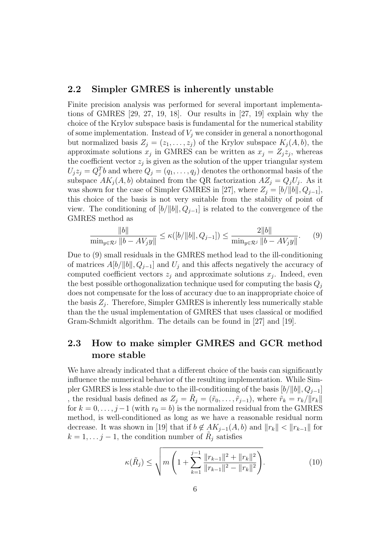### 2.2 Simpler GMRES is inherently unstable

Finite precision analysis was performed for several important implementations of GMRES [29, 27, 19, 18]. Our results in [27, 19] explain why the choice of the Krylov subspace basis is fundamental for the numerical stability of some implementation. Instead of  $V_i$  we consider in general a nonorthogonal but normalized basis  $Z_j = (z_1, \ldots, z_j)$  of the Krylov subspace  $K_j(A, b)$ , the approximate solutions  $x_j$  in GMRES can be written as  $x_j = Z_j z_j$ , whereas the coefficient vector  $z_j$  is given as the solution of the upper triangular system  $U_j z_j = Q_j^T b$  and where  $Q_j = (q_1, \ldots, q_j)$  denotes the orthonormal basis of the subspace  $AK_j(A, b)$  obtained from the QR factorization  $AZ_j = Q_jU_j$ . As it was shown for the case of Simpler GMRES in [27], where  $Z_j = [b/\|b\|, Q_{j-1}]$ , this choice of the basis is not very suitable from the stability of point of view. The conditioning of  $[b/||b||, Q_{j-1}]$  is related to the convergence of the GMRES method as

$$
\frac{\|b\|}{\min_{y \in \mathcal{R}^j} \|b - AV_jy\|} \le \kappa([b/\|b\|, Q_{j-1}]) \le \frac{2\|b\|}{\min_{y \in \mathcal{R}^j} \|b - AV_jy\|}.\tag{9}
$$

Due to (9) small residuals in the GMRES method lead to the ill-conditioning of matrices  $A[b/\|b\|, Q_{i-1}]$  and  $U_i$  and this affects negatively the accuracy of computed coefficient vectors  $z_j$  and approximate solutions  $x_j$ . Indeed, even the best possible orthogonalization technique used for computing the basis  $Q_i$ does not compensate for the loss of accuracy due to an inappropriate choice of the basis  $Z_j$ . Therefore, Simpler GMRES is inherently less numerically stable than the the usual implementation of GMRES that uses classical or modified Gram-Schmidt algorithm. The details can be found in [27] and [19].

### 2.3 How to make simpler GMRES and GCR method more stable

We have already indicated that a different choice of the basis can significantly influence the numerical behavior of the resulting implementation. While Simpler GMRES is less stable due to the ill-conditioning of the basis  $[b/||b||, Q_{i-1}]$ , the residual basis defined as  $Z_j = \tilde{R}_j = (\tilde{r}_0, \ldots, \tilde{r}_{j-1}),$  where  $\tilde{r}_k = r_k/||r_k||$ for  $k = 0, \ldots, j-1$  (with  $r_0 = b$ ) is the normalized residual from the GMRES method, is well-conditioned as long as we have a reasonable residual norm decrease. It was shown in [19] that if  $b \notin AK_{j-1}(A, b)$  and  $||r_k|| < ||r_{k-1}||$  for  $k = 1, \ldots j - 1$ , the condition number of  $R_j$  satisfies

$$
\kappa(\tilde{R}_j) \le \sqrt{m \left(1 + \sum_{k=1}^{j-1} \frac{\|r_{k-1}\|^2 + \|r_k\|^2}{\|r_{k-1}\|^2 - \|r_k\|^2}\right)}.
$$
\n(10)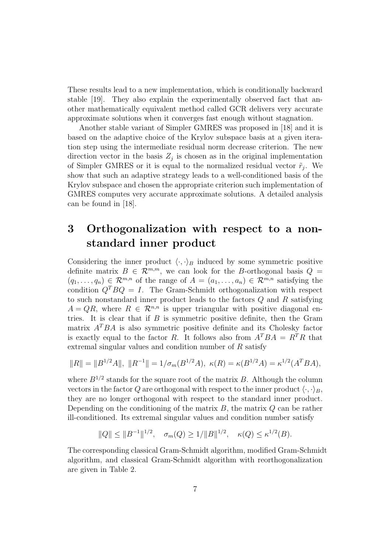These results lead to a new implementation, which is conditionally backward stable [19]. They also explain the experimentally observed fact that another mathematically equivalent method called GCR delivers very accurate approximate solutions when it converges fast enough without stagnation.

Another stable variant of Simpler GMRES was proposed in [18] and it is based on the adaptive choice of the Krylov subspace basis at a given iteration step using the intermediate residual norm decrease criterion. The new direction vector in the basis  $Z_j$  is chosen as in the original implementation of Simpler GMRES or it is equal to the normalized residual vector  $\tilde{r}_j$ . We show that such an adaptive strategy leads to a well-conditioned basis of the Krylov subspace and chosen the appropriate criterion such implementation of GMRES computes very accurate approximate solutions. A detailed analysis can be found in [18].

## 3 Orthogonalization with respect to a nonstandard inner product

Considering the inner product  $\langle \cdot, \cdot \rangle_B$  induced by some symmetric positive definite matrix  $B \in \mathcal{R}^{m,m}$ , we can look for the B-orthogonal basis  $Q =$  $(q_1, \ldots, q_n) \in \mathcal{R}^{m,n}$  of the range of  $A = (a_1, \ldots, a_n) \in \mathcal{R}^{m,n}$  satisfying the condition  $Q^T B Q = I$ . The Gram-Schmidt orthogonalization with respect to such nonstandard inner product leads to the factors Q and R satisfying  $A = QR$ , where  $R \in \mathcal{R}^{n,n}$  is upper triangular with positive diagonal entries. It is clear that if  $B$  is symmetric positive definite, then the Gram matrix  $A<sup>T</sup>BA$  is also symmetric positive definite and its Cholesky factor is exactly equal to the factor R. It follows also from  $A^TBA = R^TR$  that extremal singular values and condition number of R satisfy

$$
||R|| = ||B^{1/2}A||, ||R^{-1}|| = 1/\sigma_m(B^{1/2}A), \ \kappa(R) = \kappa(B^{1/2}A) = \kappa^{1/2}(A^TBA),
$$

where  $B^{1/2}$  stands for the square root of the matrix B. Although the column vectors in the factor Q are orthogonal with respect to the inner product  $\langle \cdot, \cdot \rangle_B$ , they are no longer orthogonal with respect to the standard inner product. Depending on the conditioning of the matrix  $B$ , the matrix  $Q$  can be rather ill-conditioned. Its extremal singular values and condition number satisfy

$$
||Q|| \le ||B^{-1}||^{1/2}, \quad \sigma_m(Q) \ge 1/||B||^{1/2}, \quad \kappa(Q) \le \kappa^{1/2}(B).
$$

The corresponding classical Gram-Schmidt algorithm, modified Gram-Schmidt algorithm, and classical Gram-Schmidt algorithm with reorthogonalization are given in Table 2.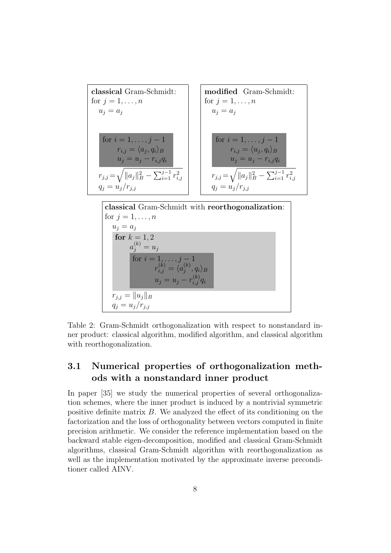

$$
r_{j,j} = ||u_j||_B
$$
  
\n
$$
q_j = u_j/r_{j,j}
$$
  
\n2: Gram-Schmidt orthogonalization with respect to nonstandard

Table 2: Gram-Schmidt orthogonalization with respect to nonstandard inner product: classical algorithm, modified algorithm, and classical algorithm with reorthogonalization.

## 3.1 Numerical properties of orthogonalization methods with a nonstandard inner product

In paper [35] we study the numerical properties of several orthogonalization schemes, where the inner product is induced by a nontrivial symmetric positive definite matrix B. We analyzed the effect of its conditioning on the factorization and the loss of orthogonality between vectors computed in finite precision arithmetic. We consider the reference implementation based on the backward stable eigen-decomposition, modified and classical Gram-Schmidt algorithms, classical Gram-Schmidt algorithm with reorthogonalization as well as the implementation motivated by the approximate inverse preconditioner called AINV.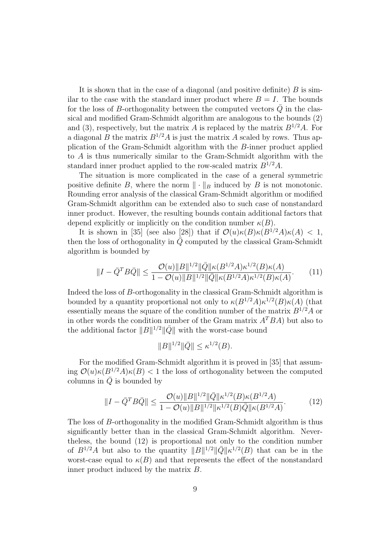It is shown that in the case of a diagonal (and positive definite)  $B$  is similar to the case with the standard inner product where  $B = I$ . The bounds for the loss of B-orthogonality between the computed vectors  $\overline{Q}$  in the classical and modified Gram-Schmidt algorithm are analogous to the bounds (2) and (3), respectively, but the matrix A is replaced by the matrix  $B^{1/2}A$ . For a diagonal B the matrix  $B^{1/2}A$  is just the matrix A scaled by rows. Thus application of the Gram-Schmidt algorithm with the B-inner product applied to A is thus numerically similar to the Gram-Schmidt algorithm with the standard inner product applied to the row-scaled matrix  $B^{1/2}A$ .

The situation is more complicated in the case of a general symmetric positive definite B, where the norm  $\|\cdot\|_B$  induced by B is not monotonic. Rounding error analysis of the classical Gram-Schmidt algorithm or modified Gram-Schmidt algorithm can be extended also to such case of nonstandard inner product. However, the resulting bounds contain additional factors that depend explicitly or implicitly on the condition number  $\kappa(B)$ .

It is shown in [35] (see also [28]) that if  $\mathcal{O}(u)\kappa(B)\kappa(B^{1/2}A)\kappa(A) < 1$ , then the loss of orthogonality in  $\overline{Q}$  computed by the classical Gram-Schmidt algorithm is bounded by

$$
||I - \bar{Q}^T B \bar{Q}|| \le \frac{\mathcal{O}(u) ||B||^{1/2} ||\bar{Q}|| \kappa (B^{1/2} A) \kappa^{1/2} (B) \kappa (A)}{1 - \mathcal{O}(u) ||B||^{1/2} ||\bar{Q}|| \kappa (B^{1/2} A) \kappa^{1/2} (B) \kappa (A)}.
$$
 (11)

Indeed the loss of B-orthogonality in the classical Gram-Schmidt algorithm is bounded by a quantity proportional not only to  $\kappa(B^{1/2}A)\kappa^{1/2}(B)\kappa(A)$  (that essentially means the square of the condition number of the matrix  $B^{1/2}A$  or in other words the condition number of the Gram matrix  $A^TBA$ ) but also to the additional factor  $||B||^{1/2}||\overline{Q}||$  with the worst-case bound

$$
||B||^{1/2}||\bar{Q}|| \le \kappa^{1/2}(B).
$$

For the modified Gram-Schmidt algorithm it is proved in [35] that assuming  $\mathcal{O}(u)\kappa(B^{1/2}A)\kappa(B)$  < 1 the loss of orthogonality between the computed columns in  $\overline{Q}$  is bounded by

$$
||I - \bar{Q}^T B \bar{Q}|| \le \frac{\mathcal{O}(u) ||B||^{1/2} ||\bar{Q}|| \kappa^{1/2} (B) \kappa (B^{1/2} A)}{1 - \mathcal{O}(u) ||B||^{1/2} ||\kappa^{1/2} (B) \bar{Q}|| \kappa (B^{1/2} A)}.
$$
(12)

The loss of B-orthogonality in the modified Gram-Schmidt algorithm is thus significantly better than in the classical Gram-Schmidt algorithm. Nevertheless, the bound (12) is proportional not only to the condition number of  $B^{1/2}A$  but also to the quantity  $||B||^{1/2}||\bar{Q}||\kappa^{1/2}(B)$  that can be in the worst-case equal to  $\kappa(B)$  and that represents the effect of the nonstandard inner product induced by the matrix B.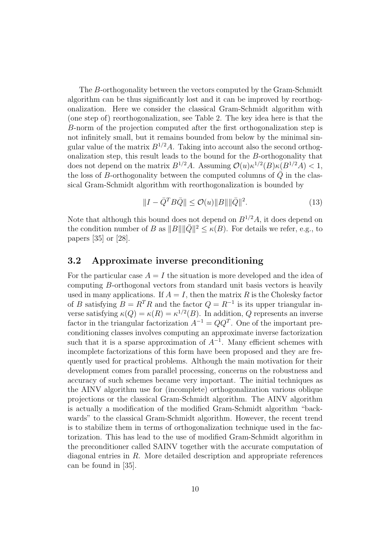The B-orthogonality between the vectors computed by the Gram-Schmidt algorithm can be thus significantly lost and it can be improved by reorthogonalization. Here we consider the classical Gram-Schmidt algorithm with (one step of) reorthogonalization, see Table 2. The key idea here is that the B-norm of the projection computed after the first orthogonalization step is not infinitely small, but it remains bounded from below by the minimal singular value of the matrix  $B^{1/2}A$ . Taking into account also the second orthogonalization step, this result leads to the bound for the B-orthogonality that does not depend on the matrix  $B^{1/2}A$ . Assuming  $\mathcal{O}(u)\kappa^{1/2}(B)\kappa(B^{1/2}A) < 1$ , the loss of B-orthogonality between the computed columns of  $\overline{Q}$  in the classical Gram-Schmidt algorithm with reorthogonalization is bounded by

$$
||I - \bar{Q}^T B \bar{Q}|| \le \mathcal{O}(u) ||B|| ||\bar{Q}||^2.
$$
 (13)

Note that although this bound does not depend on  $B^{1/2}A$ , it does depend on the condition number of B as  $||B|| ||\overline{Q}||^2 \le \kappa(B)$ . For details we refer, e.g., to papers [35] or [28].

#### 3.2 Approximate inverse preconditioning

For the particular case  $A = I$  the situation is more developed and the idea of computing B-orthogonal vectors from standard unit basis vectors is heavily used in many applications. If  $A = I$ , then the matrix R is the Cholesky factor of B satisfying  $B = R^T R$  and the factor  $Q = R^{-1}$  is its upper triangular inverse satisfying  $\kappa(Q) = \kappa(R) = \kappa^{1/2}(B)$ . In addition, Q represents an inverse factor in the triangular factorization  $A^{-1} = QQ^{T}$ . One of the important preconditioning classes involves computing an approximate inverse factorization such that it is a sparse approximation of  $A^{-1}$ . Many efficient schemes with incomplete factorizations of this form have been proposed and they are frequently used for practical problems. Although the main motivation for their development comes from parallel processing, concerns on the robustness and accuracy of such schemes became very important. The initial techniques as the AINV algorithm use for (incomplete) orthogonalization various oblique projections or the classical Gram-Schmidt algorithm. The AINV algorithm is actually a modification of the modified Gram-Schmidt algorithm "backwards" to the classical Gram-Schmidt algorithm. However, the recent trend is to stabilize them in terms of orthogonalization technique used in the factorization. This has lead to the use of modified Gram-Schmidt algorithm in the preconditioner called SAINV together with the accurate computation of diagonal entries in R. More detailed description and appropriate references can be found in [35].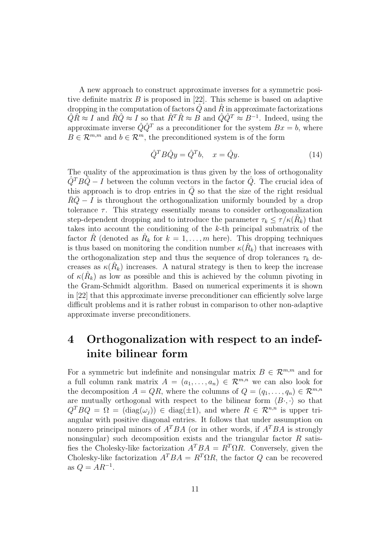A new approach to construct approximate inverses for a symmetric positive definite matrix  $B$  is proposed in [22]. This scheme is based on adaptive dropping in the computation of factors  $Q$  and  $R$  in approximate factorizations  $\hat{Q}\hat{R} \approx I$  and  $\hat{R}\hat{Q} \approx I$  so that  $\hat{R}^T\hat{R} \approx B$  and  $\hat{Q}\hat{Q}^T \approx B^{-1}$ . Indeed, using the approximate inverse  $\hat{Q}\hat{Q}^T$  as a preconditioner for the system  $Bx = b$ , where  $B \in \mathcal{R}^{m,m}$  and  $b \in \mathcal{R}^m$ , the preconditioned system is of the form

$$
\hat{Q}^T B \hat{Q} y = \hat{Q}^T b, \quad x = \hat{Q} y.
$$
\n(14)

The quality of the approximation is thus given by the loss of orthogonality  $Q^T B Q - I$  between the column vectors in the factor Q. The crucial idea of this approach is to drop entries in  $\overline{Q}$  so that the size of the right residual  $RQ - I$  is throughout the orthogonalization uniformly bounded by a drop tolerance  $\tau$ . This strategy essentially means to consider orthogonalization step-dependent dropping and to introduce the parameter  $\tau_k \leq \tau / \kappa(\hat{R}_k)$  that takes into account the conditioning of the k-th principal submatrix of the factor  $\hat{R}$  (denoted as  $\hat{R}_k$  for  $k = 1, \ldots, m$  here). This dropping techniques is thus based on monitoring the condition number  $\kappa(\hat{R}_k)$  that increases with the orthogonalization step and thus the sequence of drop tolerances  $\tau_k$  decreases as  $\kappa(\hat{R}_k)$  increases. A natural strategy is then to keep the increase of  $\kappa(\hat{R}_k)$  as low as possible and this is achieved by the column pivoting in the Gram-Schmidt algorithm. Based on numerical experiments it is shown in [22] that this approximate inverse preconditioner can efficiently solve large difficult problems and it is rather robust in comparison to other non-adaptive approximate inverse preconditioners.

## 4 Orthogonalization with respect to an indefinite bilinear form

For a symmetric but indefinite and nonsingular matrix  $B \in \mathbb{R}^{m,m}$  and for a full column rank matrix  $A = (a_1, \ldots, a_n) \in \mathcal{R}^{m,n}$  we can also look for the decomposition  $A = QR$ , where the columns of  $Q = (q_1, \ldots, q_n) \in \mathcal{R}^{m,n}$ are mutually orthogonal with respect to the bilinear form  $\langle B \cdot, \cdot \rangle$  so that  $Q^T B Q = \Omega = (diag(\omega_i)) \in diag(\pm 1)$ , and where  $R \in \mathcal{R}^{n,n}$  is upper triangular with positive diagonal entries. It follows that under assumption on nonzero principal minors of  $A^TBA$  (or in other words, if  $A^TBA$  is strongly nonsingular) such decomposition exists and the triangular factor  $R$  satisfies the Cholesky-like factorization  $A^TBA = R^T\Omega R$ . Conversely, given the Cholesky-like factorization  $A^TBA = R^T\Omega R$ , the factor Q can be recovered as  $Q = AR^{-1}$ .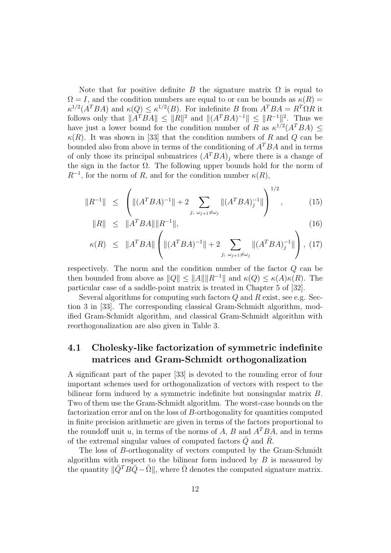Note that for positive definite B the signature matrix  $\Omega$  is equal to  $\Omega = I$ , and the condition numbers are equal to or can be bounds as  $\kappa(R) =$  $\kappa^{1/2}(A^TBA)$  and  $\kappa(Q) \leq \kappa^{1/2}(B)$ . For indefinite B from  $A^TBA = R^T\Omega R$  it follows only that  $||A^TBA|| \leq ||R||^2$  and  $||(A^TBA)^{-1}|| \leq ||R^{-1}||^2$ . Thus we have just a lower bound for the condition number of R as  $\kappa^{1/2}(A^TBA) \leq$  $\kappa(R)$ . It was shown in [33] that the condition numbers of R and Q can be bounded also from above in terms of the conditioning of  $A^TBA$  and in terms of only those its principal submatrices  $(A^TBA)_i$  where there is a change of the sign in the factor  $\Omega$ . The following upper bounds hold for the norm of  $R^{-1}$ , for the norm of R, and for the condition number  $\kappa(R)$ ,

$$
||R^{-1}|| \leq \left( ||(A^T B A)^{-1}|| + 2 \sum_{j; \omega_{j+1} \neq \omega_j} ||(A^T B A)^{-1}_j|| \right)^{1/2}, \tag{15}
$$

$$
||R|| \leq ||A^T BA|| ||R^{-1}||, \tag{16}
$$

$$
\kappa(R) \leq \|A^T BA\| \left( \| (A^T B A)^{-1} \| + 2 \sum_{j; \ \omega_{j+1} \neq \omega_j} \| (A^T B A)^{-1}_j \| \right), \ (17)
$$

respectively. The norm and the condition number of the factor Q can be then bounded from above as  $||Q|| \le ||A|| ||R^{-1}||$  and  $\kappa(Q) \le \kappa(A)\kappa(R)$ . The particular case of a saddle-point matrix is treated in Chapter 5 of [32].

Several algorithms for computing such factors  $Q$  and  $R$  exist, see e.g. Section 3 in [33]. The corresponding classical Gram-Schmidt algorithm, modified Gram-Schmidt algorithm, and classical Gram-Schmidt algorithm with reorthogonalization are also given in Table 3.

### 4.1 Cholesky-like factorization of symmetric indefinite matrices and Gram-Schmidt orthogonalization

A significant part of the paper [33] is devoted to the rounding error of four important schemes used for orthogonalization of vectors with respect to the bilinear form induced by a symmetric indefinite but nonsingular matrix B. Two of them use the Gram-Schmidt algorithm. The worst-case bounds on the factorization error and on the loss of B-orthogonality for quantities computed in finite precision arithmetic are given in terms of the factors proportional to the roundoff unit u, in terms of the norms of A, B and  $A^TBA$ , and in terms of the extremal singular values of computed factors  $\overline{Q}$  and  $\overline{R}$ .

The loss of B-orthogonality of vectors computed by the Gram-Schmidt algorithm with respect to the bilinear form induced by  $B$  is measured by the quantity  $\|\bar{Q}^T B \bar{Q} - \bar{\Omega}\|$ , where  $\bar{\Omega}$  denotes the computed signature matrix.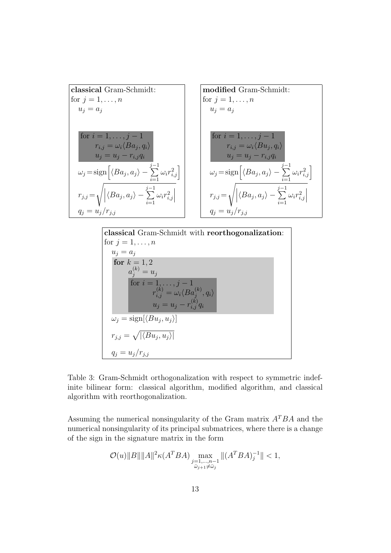| classical Gram-Schmidt:                                                                                 |                                                                                                         |
|---------------------------------------------------------------------------------------------------------|---------------------------------------------------------------------------------------------------------|
| for $j = 1, ..., n$                                                                                     | for $j = 1, ..., n$                                                                                     |
| $u_j = a_j$                                                                                             | for $i = 1, ..., j - 1$                                                                                 |
| $r_{i,j} = \omega_i \langle Ba_j, q_i \rangle$                                                          | for $i = 1, ..., j - 1$                                                                                 |
| $u_j = u_j - r_{i,j}q_i$                                                                                | for $i = 1, ..., j - 1$                                                                                 |
| $\omega_j = \text{sign} \left[ \langle Ba_j, a_j \rangle - \sum_{i=1}^{j-1} \omega_i r_{i,j}^2 \right]$ | for $i = 1, ..., j - 1$                                                                                 |
| $\omega_j = \omega_i \langle Bu_j, q_i \rangle$                                                         | $\omega_j = \omega_j - r_{i,j}q_i$                                                                      |
| $\omega_j = \text{sign} \left[ \langle Ba_j, a_j \rangle - \sum_{i=1}^{j-1} \omega_i r_{i,j}^2 \right]$ | $\omega_j = \text{sign} \left[ \langle Ba_j, a_j \rangle - \sum_{i=1}^{j-1} \omega_i r_{i,j}^2 \right]$ |
| $r_{j,j} = \sqrt{\left  \langle Ba_j, a_j \rangle - \sum_{i=1}^{j-1} \omega_i r_{i,j}^2 \right }$       | $r_{j,j} = \sqrt{\left  \langle Ba_j, a_j \rangle - \sum_{i=1}^{j-1} \omega_i r_{i,j}^2 \right }$       |
| $q_j = u_j / r_{j,j}$                                                                                   | $q_j = u_j / r_{j,j}$                                                                                   |

classical Gram-Schmidt with reorthogonalization:  
\nfor 
$$
j = 1, ..., n
$$
  
\n $u_j = a_j$   
\nfor  $k = 1, 2$   
\n $a_j^{(k)} = u_j$   
\nfor  $i = 1, ..., j - 1$   
\nfor  $i = 1, ..., j - 1$   
\n $r_{i,j}^{(k)} = \omega_i \langle Ba_j^{(k)}, q_i \rangle$   
\n $u_j = u_j - r_{i,j}^{(k)} q_i$   
\n $\omega_j = \text{sign}[\langle Bu_j, u_j \rangle]$   
\n $r_{j,j} = \sqrt{|\langle Bu_j, u_j \rangle|}$   
\n $q_j = u_j / r_{j,j}$ 

Table 3: Gram-Schmidt orthogonalization with respect to symmetric indefinite bilinear form: classical algorithm, modified algorithm, and classical algorithm with reorthogonalization.

Assuming the numerical nonsingularity of the Gram matrix  $A^TBA$  and the numerical nonsingularity of its principal submatrices, where there is a change of the sign in the signature matrix in the form

$$
\mathcal{O}(u) \|B\| \|A\|^2 \kappa (A^T B A) \max_{\substack{j=1,\ldots,n-1 \\ \bar{\omega}_{j+1} \neq \bar{\omega}_j}} \| (A^T B A)_j^{-1} \| < 1,
$$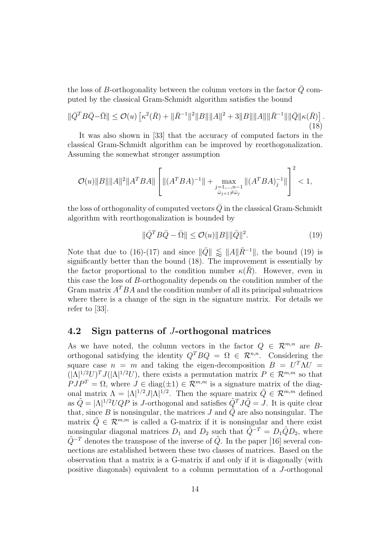the loss of B-orthogonality between the column vectors in the factor  $\overline{Q}$  computed by the classical Gram-Schmidt algorithm satisfies the bound

$$
\|\bar{Q}^T B \bar{Q} - \bar{\Omega}\| \le \mathcal{O}(u) \left[ \kappa^2(\bar{R}) + \|\bar{R}^{-1}\|^2 \|B\| \|A\|^2 + 3\|B\| \|A\| \|\bar{R}^{-1}\| \|\bar{Q}\| \kappa(\bar{R}) \right].
$$
\n(18)

It was also shown in [33] that the accuracy of computed factors in the classical Gram-Schmidt algorithm can be improved by reorthogonalization. Assuming the somewhat stronger assumption

$$
\mathcal{O}(u)\|B\|\|A\|^2\|A^TBA\|\left[\|(A^TBA)^{-1}\|+\max_{\substack{j=1,\ldots,n-1 \\ \bar{\omega}_{j+1}\neq\bar{\omega}_j}}\|(A^TBA)^{-1}_j\|\right]^2<1,
$$

the loss of orthogonality of computed vectors  $\overline{Q}$  in the classical Gram-Schmidt algorithm with reorthogonalization is bounded by

$$
\|\bar{Q}^T B \bar{Q} - \bar{\Omega}\| \le \mathcal{O}(u) \|B\| \|\bar{Q}\|^2.
$$
 (19)

Note that due to (16)-(17) and since  $\|\bar{Q}\| \leq \|A\|\bar{R}^{-1}\|$ , the bound (19) is significantly better than the bound (18). The improvement is essentially by the factor proportional to the condition number  $\kappa(R)$ . However, even in this case the loss of B-orthogonality depends on the condition number of the Gram matrix  $A^TBA$  and the condition number of all its principal submatrices where there is a change of the sign in the signature matrix. For details we refer to [33].

### 4.2 Sign patterns of J-orthogonal matrices

As we have noted, the column vectors in the factor  $Q \in \mathbb{R}^{m,n}$  are Borthogonal satisfying the identity  $Q^T B Q = \Omega \in \mathbb{R}^{n,n}$ . Considering the square case  $n = m$  and taking the eigen-decomposition  $B = U^T \Lambda U =$  $(|\Lambda|^{1/2}U)^T J(|\Lambda|^{1/2}U)$ , there exists a permutation matrix  $P \in \mathcal{R}^{m,m}$  so that  $PJP<sup>T</sup> = \Omega$ , where  $J \in diag(\pm 1) \in \mathcal{R}^{m,m}$  is a signature matrix of the diagonal matrix  $\Lambda = |\Lambda|^{1/2} J |\Lambda|^{1/2}$ . Then the square matrix  $\tilde{Q} \in \mathcal{R}^{m,m}$  defined as  $\tilde{Q} = |\Lambda|^{1/2} U Q P$  is *J*-orthogonal and satisfies  $\tilde{Q}^{T} J \tilde{Q} = J$ . It is quite clear that, since B is nonsingular, the matrices J and  $\tilde{Q}$  are also nonsingular. The matrix  $\tilde{Q} \in \mathcal{R}^{m,m}$  is called a G-matrix if it is nonsingular and there exist nonsingular diagonal matrices  $D_1$  and  $D_2$  such that  $\tilde{Q}^{-T} = D_1 \tilde{Q} D_2$ , where  $\tilde{Q}$ <sup>-T</sup> denotes the transpose of the inverse of  $\tilde{Q}$ . In the paper [16] several connections are established between these two classes of matrices. Based on the observation that a matrix is a G-matrix if and only if it is diagonally (with positive diagonals) equivalent to a column permutation of a J-orthogonal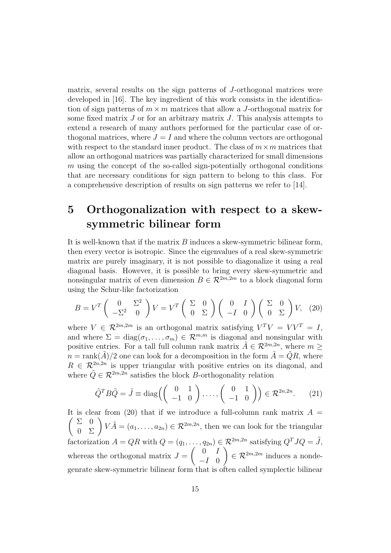matrix, several results on the sign patterns of J-orthogonal matrices were developed in [16]. The key ingredient of this work consists in the identification of sign patterns of  $m \times m$  matrices that allow a J-orthogonal matrix for some fixed matrix  $J$  or for an arbitrary matrix  $J$ . This analysis attempts to extend a research of many authors performed for the particular case of orthogonal matrices, where  $J = I$  and where the column vectors are orthogonal with respect to the standard inner product. The class of  $m \times m$  matrices that allow an orthogonal matrices was partially characterized for small dimensions  $m$  using the concept of the so-called sign-potentially orthogonal conditions that are necessary conditions for sign pattern to belong to this class. For a comprehensive description of results on sign patterns we refer to [14].

## 5 Orthogonalization with respect to a skewsymmetric bilinear form

It is well-known that if the matrix B induces a skew-symmetric bilinear form, then every vector is isotropic. Since the eigenvalues of a real skew-symmetric matrix are purely imaginary, it is not possible to diagonalize it using a real diagonal basis. However, it is possible to bring every skew-symmetric and nonsingular matrix of even dimension  $B \in \mathcal{R}^{2m,2m}$  to a block diagonal form using the Schur-like factorization

$$
B = V^T \begin{pmatrix} 0 & \Sigma^2 \\ -\Sigma^2 & 0 \end{pmatrix} V = V^T \begin{pmatrix} \Sigma & 0 \\ 0 & \Sigma \end{pmatrix} \begin{pmatrix} 0 & I \\ -I & 0 \end{pmatrix} \begin{pmatrix} \Sigma & 0 \\ 0 & \Sigma \end{pmatrix} V, (20)
$$

where  $V \in \mathcal{R}^{2m,2m}$  is an orthogonal matrix satisfying  $V^T V = V V^T = I$ , and where  $\Sigma = \text{diag}(\sigma_1, \ldots, \sigma_m) \in \mathcal{R}^{m,m}$  is diagonal and nonsingular with positive entries. For a tall full column rank matrix  $\tilde{A} \in \mathcal{R}^{2m,2n}$ , where  $m \geq$  $n = \text{rank}(\tilde{A})/2$  one can look for a decomposition in the form  $\tilde{A} = \tilde{Q}R$ , where  $R \in \mathcal{R}^{2n,2n}$  is upper triangular with positive entries on its diagonal, and where  $\tilde{Q} \in \mathcal{R}^{2m,2n}$  satisfies the block B-orthogonality relation

$$
\tilde{Q}^T B \tilde{Q} = \tilde{J} \equiv \text{diag}\left( \begin{pmatrix} 0 & 1 \\ -1 & 0 \end{pmatrix}, \dots, \begin{pmatrix} 0 & 1 \\ -1 & 0 \end{pmatrix} \right) \in \mathcal{R}^{2n, 2n}.
$$
 (21)

It is clear from (20) that if we introduce a full-column rank matrix  $A =$  $\begin{pmatrix} \Sigma & 0 \\ 0 & \Sigma \end{pmatrix} V \tilde{A} = (a_1, \ldots, a_{2n}) \in \mathcal{R}^{2m,2n}$ , then we can look for the triangular factorization  $A = QR$  with  $Q = (q_1, \ldots, q_{2n}) \in \mathcal{R}^{2m,2n}$  satisfying  $Q^T J Q = \tilde{J}$ , whereas the orthogonal matrix  $J =$  $\begin{pmatrix} 0 & I \end{pmatrix}$  $-I$  0  $\Big) \in \mathcal{R}^{2m,2m}$  induces a nondegenrate skew-symmetric bilinear form that is often called symplectic bilinear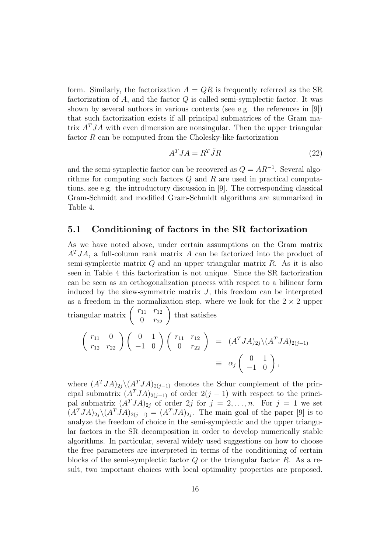form. Similarly, the factorization  $A = QR$  is frequently referred as the SR factorization of  $A$ , and the factor  $Q$  is called semi-symplectic factor. It was shown by several authors in various contexts (see e.g. the references in [9]) that such factorization exists if all principal submatrices of the Gram matrix  $A<sup>T</sup>JA$  with even dimension are nonsingular. Then the upper triangular factor  $R$  can be computed from the Cholesky-like factorization

$$
A^T J A = R^T \tilde{J} R \tag{22}
$$

and the semi-symplectic factor can be recovered as  $Q = AR^{-1}$ . Several algorithms for computing such factors Q and R are used in practical computations, see e.g. the introductory discussion in [9]. The corresponding classical Gram-Schmidt and modified Gram-Schmidt algorithms are summarized in Table 4.

#### 5.1 Conditioning of factors in the SR factorization

As we have noted above, under certain assumptions on the Gram matrix  $A<sup>T</sup>JA$ , a full-column rank matrix A can be factorized into the product of semi-symplectic matrix  $Q$  and an upper triangular matrix  $R$ . As it is also seen in Table 4 this factorization is not unique. Since the SR factorization can be seen as an orthogonalization process with respect to a bilinear form induced by the skew-symmetric matrix  $J$ , this freedom can be interpreted as a freedom in the normalization step, where we look for the  $2 \times 2$  upper triangular matrix  $\begin{pmatrix} r_{11} & r_{12} \\ 0 & r_{22} \end{pmatrix}$ that satisfies

$$
\begin{pmatrix}\nr_{11} & 0 \\
r_{12} & r_{22}\n\end{pmatrix}\n\begin{pmatrix}\n0 & 1 \\
-1 & 0\n\end{pmatrix}\n\begin{pmatrix}\nr_{11} & r_{12} \\
0 & r_{22}\n\end{pmatrix} = (A^T J A)_{2j} \setminus (A^T J A)_{2(j-1)}\n= \alpha_j \begin{pmatrix}\n0 & 1 \\
-1 & 0\n\end{pmatrix},
$$

where  $(A^TJA)_{2i}\setminus (A^TJA)_{2(i-1)}$  denotes the Schur complement of the principal submatrix  $(A^TJA)_{2(j-1)}$  of order  $2(j-1)$  with respect to the principal submatrix  $(A^TJA)_{2j}$  of order 2j for  $j = 2, ..., n$ . For  $j = 1$  we set  $(A^TJA)_{2j}\backslash (A^TJA)_{2(j-1)} = (A^TJA)_{2j}$ . The main goal of the paper [9] is to analyze the freedom of choice in the semi-symplectic and the upper triangular factors in the SR decomposition in order to develop numerically stable algorithms. In particular, several widely used suggestions on how to choose the free parameters are interpreted in terms of the conditioning of certain blocks of the semi-symplectic factor  $Q$  or the triangular factor  $R$ . As a result, two important choices with local optimality properties are proposed.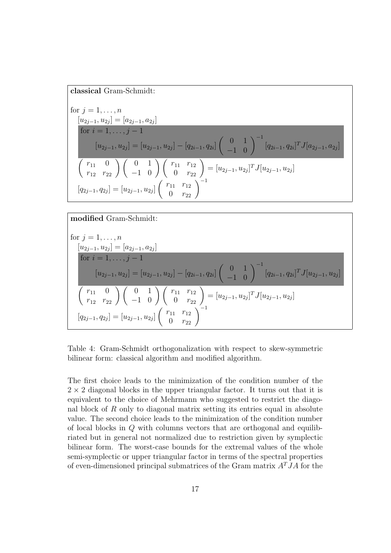#### classical Gram-Schmidt:

for 
$$
j = 1, ..., n
$$
  
\n
$$
\frac{[u_{2j-1}, u_{2j}] = [a_{2j-1}, a_{2j}]}{ \text{for } i = 1, ..., j-1}
$$
\n
$$
[u_{2j-1}, u_{2j}] = [u_{2j-1}, u_{2j}] - [q_{2i-1}, q_{2i}] \begin{pmatrix} 0 & 1 \ -1 & 0 \end{pmatrix}^{-1} [q_{2i-1}, q_{2i}]^T J [a_{2j-1}, a_{2j}]
$$
\n
$$
\begin{pmatrix} r_{11} & 0 \ r_{12} & r_{22} \end{pmatrix} \begin{pmatrix} 0 & 1 \ -1 & 0 \end{pmatrix} \begin{pmatrix} r_{11} & r_{12} \ 0 & r_{22} \end{pmatrix} = [u_{2j-1}, u_{2j}]^T J [u_{2j-1}, u_{2j}]
$$
\n
$$
[q_{2j-1}, q_{2j}] = [u_{2j-1}, u_{2j}] \begin{pmatrix} r_{11} & r_{12} \ 0 & r_{22} \end{pmatrix}^{-1}
$$

### modified Gram-Schmidt:

for 
$$
j = 1, ..., n
$$
  
\n
$$
[u_{2j-1}, u_{2j}] = [a_{2j-1}, a_{2j}]
$$
\nfor  $i = 1, ..., j - 1$   
\n
$$
[u_{2j-1}, u_{2j}] = [u_{2j-1}, u_{2j}] - [q_{2i-1}, q_{2i}] \begin{pmatrix} 0 & 1 \ -1 & 0 \end{pmatrix}^{-1} [q_{2i-1}, q_{2i}]^T J [u_{2j-1}, u_{2j}]
$$
\n
$$
\begin{pmatrix} r_{11} & 0 \ r_{12} & r_{22} \end{pmatrix} \begin{pmatrix} 0 & 1 \ -1 & 0 \end{pmatrix} \begin{pmatrix} r_{11} & r_{12} \ 0 & r_{22} \end{pmatrix} = [u_{2j-1}, u_{2j}]^T J [u_{2j-1}, u_{2j}]
$$
\n
$$
[q_{2j-1}, q_{2j}] = [u_{2j-1}, u_{2j}] \begin{pmatrix} r_{11} & r_{12} \ 0 & r_{22} \end{pmatrix}^{-1}
$$

Table 4: Gram-Schmidt orthogonalization with respect to skew-symmetric bilinear form: classical algorithm and modified algorithm.

The first choice leads to the minimization of the condition number of the  $2 \times 2$  diagonal blocks in the upper triangular factor. It turns out that it is equivalent to the choice of Mehrmann who suggested to restrict the diagonal block of R only to diagonal matrix setting its entries equal in absolute value. The second choice leads to the minimization of the condition number of local blocks in Q with columns vectors that are orthogonal and equilibriated but in general not normalized due to restriction given by symplectic bilinear form. The worst-case bounds for the extremal values of the whole semi-symplectic or upper triangular factor in terms of the spectral properties of even-dimensioned principal submatrices of the Gram matrix  $A<sup>T</sup>JA$  for the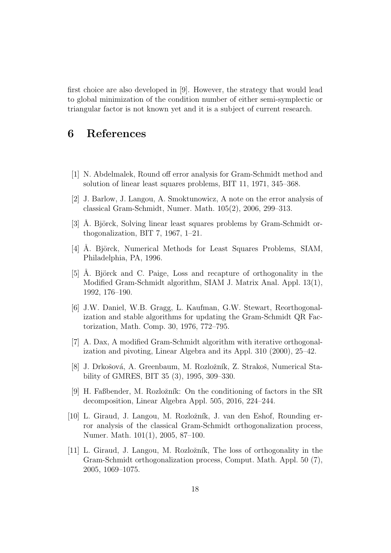first choice are also developed in [9]. However, the strategy that would lead to global minimization of the condition number of either semi-symplectic or triangular factor is not known yet and it is a subject of current research.

## 6 References

- [1] N. Abdelmalek, Round off error analysis for Gram-Schmidt method and solution of linear least squares problems, BIT 11, 1971, 345–368.
- [2] J. Barlow, J. Langou, A. Smoktunowicz, A note on the error analysis of classical Gram-Schmidt, Numer. Math. 105(2), 2006, 299–313.
- [3] A. Björck, Solving linear least squares problems by Gram-Schmidt orthogonalization, BIT 7, 1967, 1–21.
- [4] Å. Björck, Numerical Methods for Least Squares Problems, SIAM, Philadelphia, PA, 1996.
- [5] Å. Björck and C. Paige, Loss and recapture of orthogonality in the Modified Gram-Schmidt algorithm, SIAM J. Matrix Anal. Appl. 13(1), 1992, 176–190.
- [6] J.W. Daniel, W.B. Gragg, L. Kaufman, G.W. Stewart, Reorthogonalization and stable algorithms for updating the Gram-Schmidt QR Factorization, Math. Comp. 30, 1976, 772–795.
- [7] A. Dax, A modified Gram-Schmidt algorithm with iterative orthogonalization and pivoting, Linear Algebra and its Appl. 310 (2000), 25–42.
- [8] J. Drkošová, A. Greenbaum, M. Rozložník, Z. Strakoš, Numerical Stability of GMRES, BIT 35 (3), 1995, 309–330.
- [9] H. Faßbender, M. Rozložník: On the conditioning of factors in the SR decomposition, Linear Algebra Appl. 505, 2016, 224–244.
- [10] L. Giraud, J. Langou, M. Rozložník, J. van den Eshof, Rounding error analysis of the classical Gram-Schmidt orthogonalization process, Numer. Math. 101(1), 2005, 87–100.
- [11] L. Giraud, J. Langou, M. Rozložník, The loss of orthogonality in the Gram-Schmidt orthogonalization process, Comput. Math. Appl. 50 (7), 2005, 1069–1075.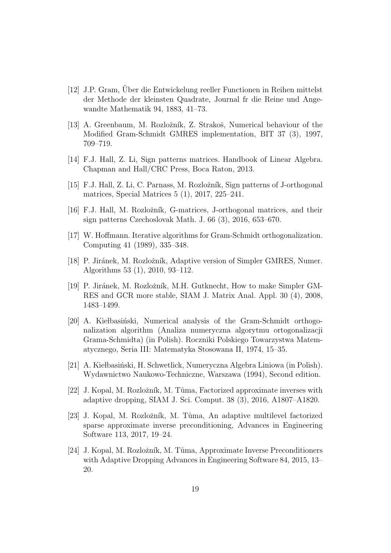- [12] J.P. Gram, Uber die Entwickelung reeller Functionen in Reihen mittelst der Methode der kleinsten Quadrate, Journal fr die Reine und Angewandte Mathematik 94, 1883, 41–73.
- [13] A. Greenbaum, M. Rozložník, Z. Strakoš, Numerical behaviour of the Modified Gram-Schmidt GMRES implementation, BIT 37 (3), 1997, 709–719.
- [14] F.J. Hall, Z. Li, Sign patterns matrices. Handbook of Linear Algebra. Chapman and Hall/CRC Press, Boca Raton, 2013.
- [15] F.J. Hall, Z. Li, C. Parnass, M. Rozložník, Sign patterns of J-orthogonal matrices, Special Matrices 5 (1), 2017, 225–241.
- [16] F.J. Hall, M. Rozložník, G-matrices, J-orthogonal matrices, and their sign patterns Czechoslovak Math. J. 66 (3), 2016, 653–670.
- [17] W. Hoffmann. Iterative algorithms for Gram-Schmidt orthogonalization. Computing 41 (1989), 335–348.
- [18] P. Jiránek, M. Rozložník, Adaptive version of Simpler GMRES, Numer. Algorithms 53 (1), 2010, 93–112.
- [19] P. Jiránek, M. Rozložník, M.H. Gutknecht, How to make Simpler GM-RES and GCR more stable, SIAM J. Matrix Anal. Appl. 30 (4), 2008, 1483–1499.
- [20] A. Kiełbasiński, Numerical analysis of the Gram-Schmidt orthogonalization algorithm (Analiza numeryczna algorytmu ortogonalizacji Grama-Schmidta) (in Polish). Roczniki Polskiego Towarzystwa Matematycznego, Seria III: Matematyka Stosowana II, 1974, 15–35.
- [21] A. Kiełbasiński, H. Schwetlick, Numeryczna Algebra Liniowa (in Polish). Wydawnictwo Naukowo-Techniczne, Warszawa (1994), Second edition.
- [22] J. Kopal, M. Rozložník, M. Tůma, Factorized approximate inverses with adaptive dropping, SIAM J. Sci. Comput. 38 (3), 2016, A1807–A1820.
- [23] J. Kopal, M. Rozložník, M. Tůma, An adaptive multilevel factorized sparse approximate inverse preconditioning, Advances in Engineering Software 113, 2017, 19–24.
- [24] J. Kopal, M. Rozložník, M. Tůma, Approximate Inverse Preconditioners with Adaptive Dropping Advances in Engineering Software 84, 2015, 13– 20.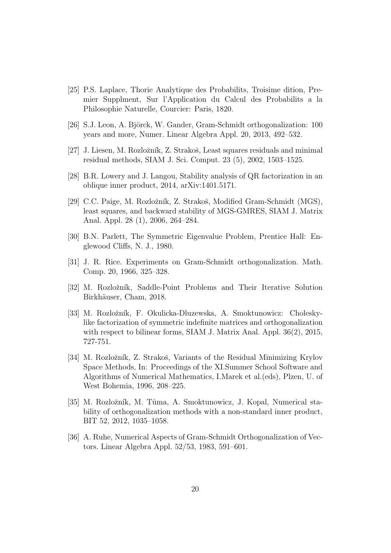- [25] P.S. Laplace, Thorie Analytique des Probabilits, Troisime dition, Premier Supplment, Sur l'Application du Calcul des Probabilits a la Philosophie Naturelle, Courcier: Paris, 1820.
- [26] S.J. Leon, A. Björck, W. Gander, Gram-Schmidt orthogonalization: 100 years and more, Numer. Linear Algebra Appl. 20, 2013, 492–532.
- [27] J. Liesen, M. Rozložník, Z. Strakoš, Least squares residuals and minimal residual methods, SIAM J. Sci. Comput. 23 (5), 2002, 1503–1525.
- [28] B.R. Lowery and J. Langou, Stability analysis of QR factorization in an oblique inner product, 2014, arXiv:1401.5171.
- [29] C.C. Paige, M. Rozložník, Z. Strakoš, Modified Gram-Schmidt (MGS), least squares, and backward stability of MGS-GMRES, SIAM J. Matrix Anal. Appl. 28 (1), 2006, 264–284.
- [30] B.N. Parlett, The Symmetric Eigenvalue Problem, Prentice Hall: Englewood Cliffs, N. J., 1980.
- [31] J. R. Rice. Experiments on Gram-Schmidt orthogonalization. Math. Comp. 20, 1966, 325–328.
- [32] M. Rozložník, Saddle-Point Problems and Their Iterative Solution Birkhäuser, Cham, 2018.
- [33] M. Rozložník, F. Okulicka-Dluzewska, A. Smoktunowicz: Choleskylike factorization of symmetric indefinite matrices and orthogonalization with respect to bilinear forms, SIAM J. Matrix Anal. Appl. 36(2), 2015, 727-751.
- [34] M. Rozložník, Z. Strakoš, Variants of the Residual Minimizing Krylov Space Methods, In: Proceedings of the XI.Summer School Software and Algorithms of Numerical Mathematics, I.Marek et al.(eds), Plzen, U. of West Bohemia, 1996, 208–225.
- [35] M. Rozložník, M. Tůma, A. Smoktunowicz, J. Kopal, Numerical stability of orthogonalization methods with a non-standard inner product, BIT 52, 2012, 1035–1058.
- [36] A. Ruhe, Numerical Aspects of Gram-Schmidt Orthogonalization of Vectors. Linear Algebra Appl. 52/53, 1983, 591–601.